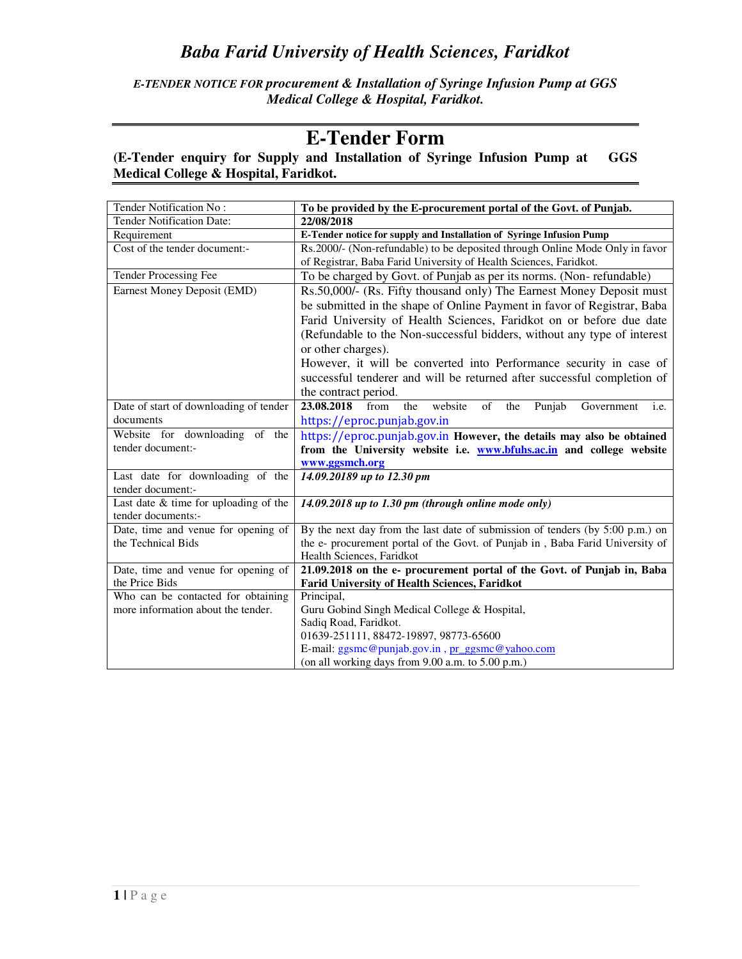*E-TENDER NOTICE FOR procurement & Installation of Syringe Infusion Pump at GGS Medical College & Hospital, Faridkot.* 

## **E-Tender Form**

#### **(E-Tender enquiry for Supply and Installation of Syringe Infusion Pump at GGS Medical College & Hospital, Faridkot.**

| Tender Notification No:                 | To be provided by the E-procurement portal of the Govt. of Punjab.                                   |
|-----------------------------------------|------------------------------------------------------------------------------------------------------|
| Tender Notification Date:               | 22/08/2018                                                                                           |
| Requirement                             | E-Tender notice for supply and Installation of Syringe Infusion Pump                                 |
| Cost of the tender document:-           | Rs.2000/- (Non-refundable) to be deposited through Online Mode Only in favor                         |
|                                         | of Registrar, Baba Farid University of Health Sciences, Faridkot.                                    |
| Tender Processing Fee                   | To be charged by Govt. of Punjab as per its norms. (Non-refundable)                                  |
| Earnest Money Deposit (EMD)             | Rs.50,000/- (Rs. Fifty thousand only) The Earnest Money Deposit must                                 |
|                                         | be submitted in the shape of Online Payment in favor of Registrar, Baba                              |
|                                         | Farid University of Health Sciences, Faridkot on or before due date                                  |
|                                         | (Refundable to the Non-successful bidders, without any type of interest                              |
|                                         | or other charges).                                                                                   |
|                                         | However, it will be converted into Performance security in case of                                   |
|                                         | successful tenderer and will be returned after successful completion of                              |
|                                         | the contract period.                                                                                 |
| Date of start of downloading of tender  | 23.08.2018<br>from<br>the<br>website<br>of<br>Punjab<br>Government<br>the<br>i.e.                    |
| documents                               | https://eproc.punjab.gov.in                                                                          |
| Website for downloading of the          | https://eproc.punjab.gov.in However, the details may also be obtained                                |
| tender document:-                       | from the University website i.e. www.bfuhs.ac.in and college website                                 |
|                                         | www.ggsmch.org                                                                                       |
| Last date for downloading of the        | 14.09.20189 up to 12.30 pm                                                                           |
| tender document:-                       |                                                                                                      |
| Last date $&$ time for uploading of the | $14.09.2018$ up to 1.30 pm (through online mode only)                                                |
| tender documents:-                      |                                                                                                      |
| Date, time and venue for opening of     | By the next day from the last date of submission of tenders (by 5:00 p.m.) on                        |
| the Technical Bids                      | the e- procurement portal of the Govt. of Punjab in, Baba Farid University of                        |
| Date, time and venue for opening of     | Health Sciences, Faridkot<br>21.09.2018 on the e- procurement portal of the Govt. of Punjab in, Baba |
| the Price Bids                          | <b>Farid University of Health Sciences, Faridkot</b>                                                 |
| Who can be contacted for obtaining      | Principal,                                                                                           |
| more information about the tender.      | Guru Gobind Singh Medical College & Hospital,                                                        |
|                                         | Sadiq Road, Faridkot.                                                                                |
|                                         | 01639-251111, 88472-19897, 98773-65600                                                               |
|                                         | E-mail: ggsmc@punjab.gov.in, pr_ggsmc@yahoo.com                                                      |
|                                         | (on all working days from 9.00 a.m. to 5.00 p.m.)                                                    |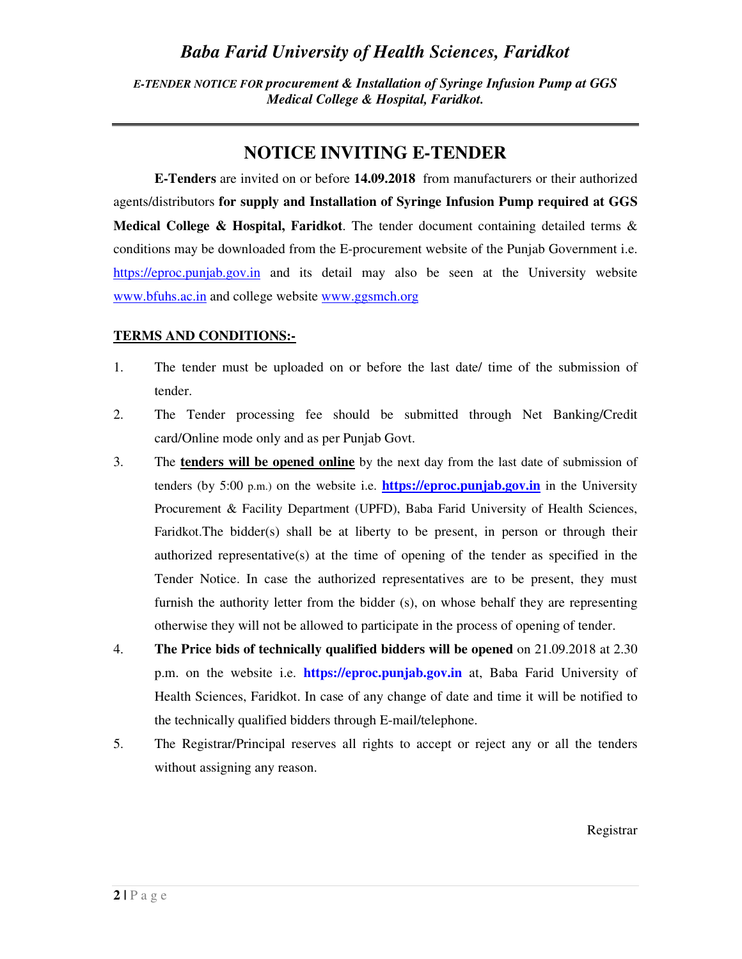*E-TENDER NOTICE FOR procurement & Installation of Syringe Infusion Pump at GGS Medical College & Hospital, Faridkot.* 

## **NOTICE INVITING E-TENDER**

**E-Tenders** are invited on or before **14.09.2018** from manufacturers or their authorized agents/distributors **for supply and Installation of Syringe Infusion Pump required at GGS Medical College & Hospital, Faridkot**. The tender document containing detailed terms & conditions may be downloaded from the E-procurement website of the Punjab Government i.e. https://eproc.punjab.gov.in and its detail may also be seen at the University website www.bfuhs.ac.in and college website www.ggsmch.org

#### **TERMS AND CONDITIONS:-**

- 1. The tender must be uploaded on or before the last date/ time of the submission of tender.
- 2. The Tender processing fee should be submitted through Net Banking/Credit card/Online mode only and as per Punjab Govt.
- 3. The **tenders will be opened online** by the next day from the last date of submission of tenders (by 5:00 p.m.) on the website i.e. **https://eproc.punjab.gov.in** in the University Procurement & Facility Department (UPFD), Baba Farid University of Health Sciences, Faridkot.The bidder(s) shall be at liberty to be present, in person or through their authorized representative(s) at the time of opening of the tender as specified in the Tender Notice. In case the authorized representatives are to be present, they must furnish the authority letter from the bidder (s), on whose behalf they are representing otherwise they will not be allowed to participate in the process of opening of tender.
- 4. **The Price bids of technically qualified bidders will be opened** on 21.09.2018 at 2.30 p.m. on the website i.e. **https://eproc.punjab.gov.in** at, Baba Farid University of Health Sciences, Faridkot. In case of any change of date and time it will be notified to the technically qualified bidders through E-mail/telephone.
- 5. The Registrar/Principal reserves all rights to accept or reject any or all the tenders without assigning any reason.

Registrar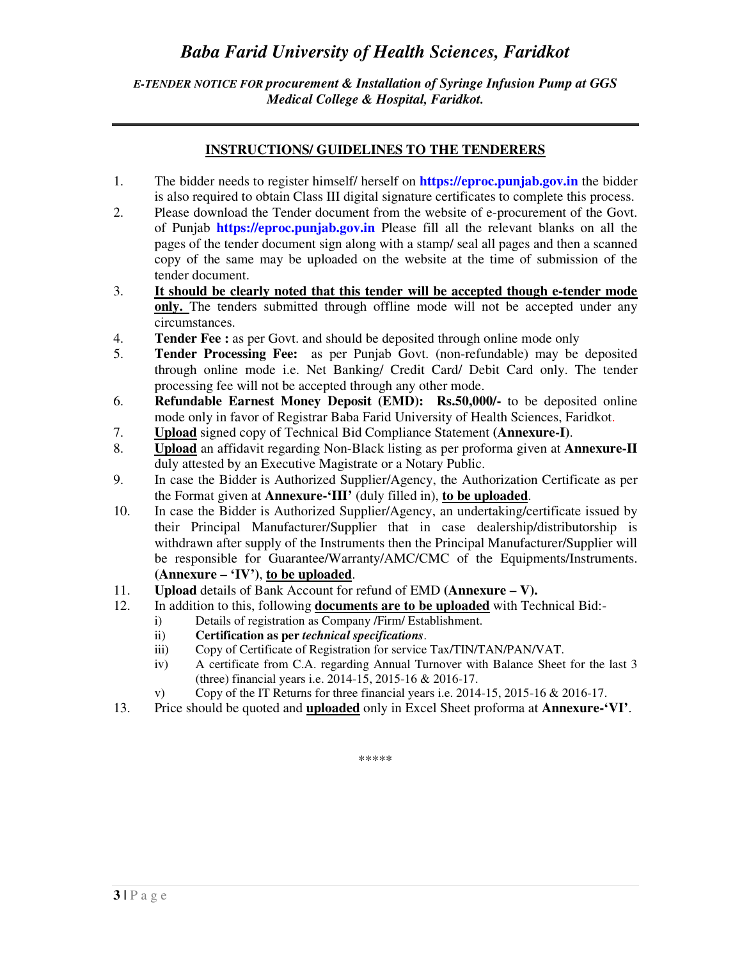#### *E-TENDER NOTICE FOR procurement & Installation of Syringe Infusion Pump at GGS Medical College & Hospital, Faridkot.*

#### **INSTRUCTIONS/ GUIDELINES TO THE TENDERERS**

- 1. The bidder needs to register himself/ herself on **https://eproc.punjab.gov.in** the bidder is also required to obtain Class III digital signature certificates to complete this process.
- 2. Please download the Tender document from the website of e-procurement of the Govt. of Punjab **https://eproc.punjab.gov.in** Please fill all the relevant blanks on all the pages of the tender document sign along with a stamp/ seal all pages and then a scanned copy of the same may be uploaded on the website at the time of submission of the tender document.
- 3. **It should be clearly noted that this tender will be accepted though e-tender mode only.** The tenders submitted through offline mode will not be accepted under any circumstances.
- 4. **Tender Fee :** as per Govt. and should be deposited through online mode only
- 5. **Tender Processing Fee:** as per Punjab Govt. (non-refundable) may be deposited through online mode i.e. Net Banking/ Credit Card/ Debit Card only. The tender processing fee will not be accepted through any other mode.
- 6. **Refundable Earnest Money Deposit (EMD): Rs.50,000/-** to be deposited online mode only in favor of Registrar Baba Farid University of Health Sciences, Faridkot.
- 7. **Upload** signed copy of Technical Bid Compliance Statement **(Annexure-I)**.
- 8. **Upload** an affidavit regarding Non-Black listing as per proforma given at **Annexure-II**  duly attested by an Executive Magistrate or a Notary Public.
- 9. In case the Bidder is Authorized Supplier/Agency, the Authorization Certificate as per the Format given at **Annexure-'III'** (duly filled in), **to be uploaded**.
- 10. In case the Bidder is Authorized Supplier/Agency, an undertaking/certificate issued by their Principal Manufacturer/Supplier that in case dealership/distributorship is withdrawn after supply of the Instruments then the Principal Manufacturer/Supplier will be responsible for Guarantee/Warranty/AMC/CMC of the Equipments/Instruments. **(Annexure – 'IV')**, **to be uploaded**.
- 11. **Upload** details of Bank Account for refund of EMD **(Annexure V).**
- 12. In addition to this, following **documents are to be uploaded** with Technical Bid:
	- i) Details of registration as Company /Firm/ Establishment.
	- ii) **Certification as per** *technical specifications*.
	- iii) Copy of Certificate of Registration for service Tax/TIN/TAN/PAN/VAT.
	- iv) A certificate from C.A. regarding Annual Turnover with Balance Sheet for the last 3 (three) financial years i.e. 2014-15, 2015-16 & 2016-17.
	- v) Copy of the IT Returns for three financial years i.e. 2014-15, 2015-16 & 2016-17.
- 13. Price should be quoted and **uploaded** only in Excel Sheet proforma at **Annexure-'VI'**.

\*\*\*\*\*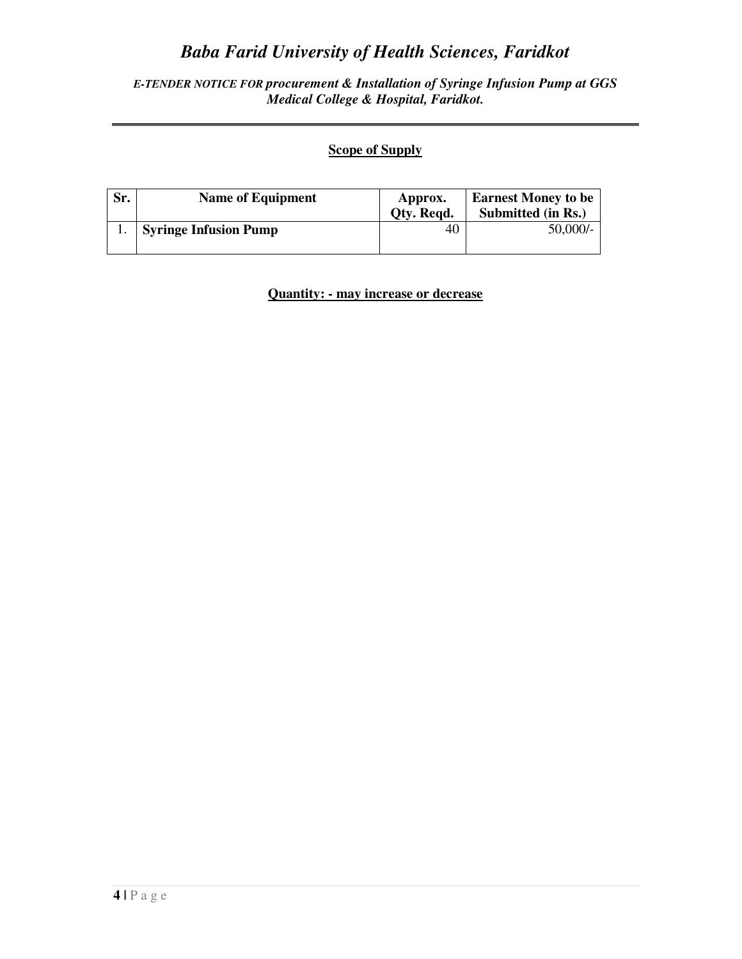#### *E-TENDER NOTICE FOR procurement & Installation of Syringe Infusion Pump at GGS Medical College & Hospital, Faridkot.*

### **Scope of Supply**

| Sr. | <b>Name of Equipment</b>     | Approx.<br>Oty. Regd. | <b>Earnest Money to be</b><br>Submitted (in Rs.) |
|-----|------------------------------|-----------------------|--------------------------------------------------|
|     | <b>Syringe Infusion Pump</b> | 40                    | $50,000/-$                                       |

**Quantity: - may increase or decrease**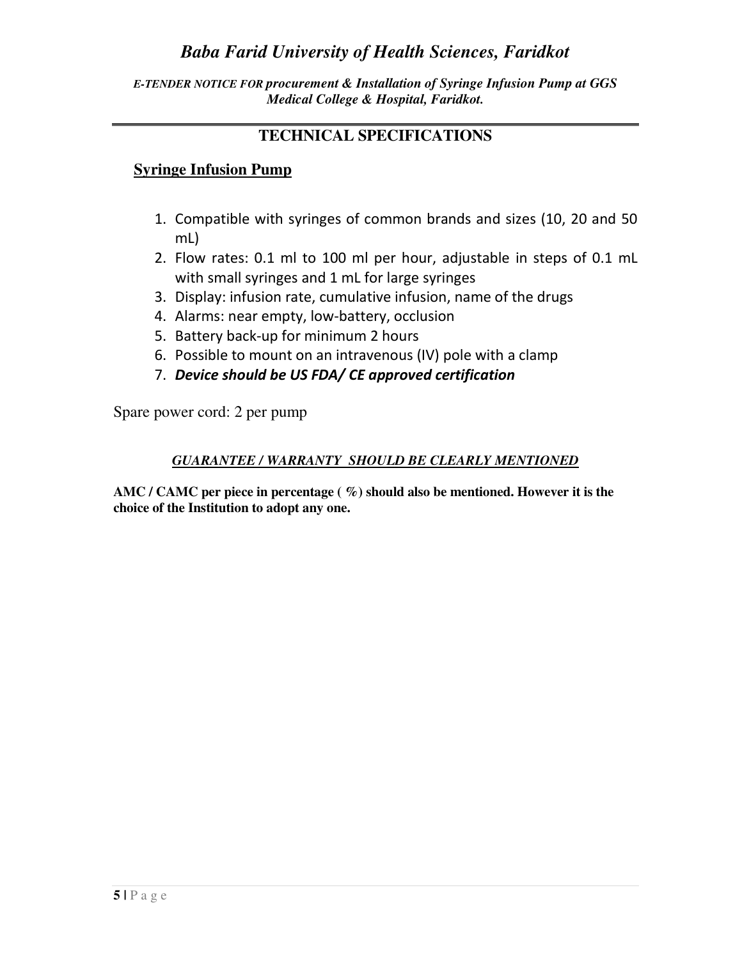*E-TENDER NOTICE FOR procurement & Installation of Syringe Infusion Pump at GGS Medical College & Hospital, Faridkot.* 

### **TECHNICAL SPECIFICATIONS**

### **Syringe Infusion Pump**

- 1. Compatible with syringes of common brands and sizes (10, 20 and 50 mL)
- 2. Flow rates: 0.1 ml to 100 ml per hour, adjustable in steps of 0.1 mL with small syringes and 1 mL for large syringes
- 3. Display: infusion rate, cumulative infusion, name of the drugs
- 4. Alarms: near empty, low-battery, occlusion
- 5. Battery back-up for minimum 2 hours
- 6. Possible to mount on an intravenous (IV) pole with a clamp
- 7. *Device should be US FDA/ CE approved certification*

Spare power cord: 2 per pump

#### *GUARANTEE / WARRANTY SHOULD BE CLEARLY MENTIONED*

**AMC / CAMC per piece in percentage ( %) should also be mentioned. However it is the choice of the Institution to adopt any one.**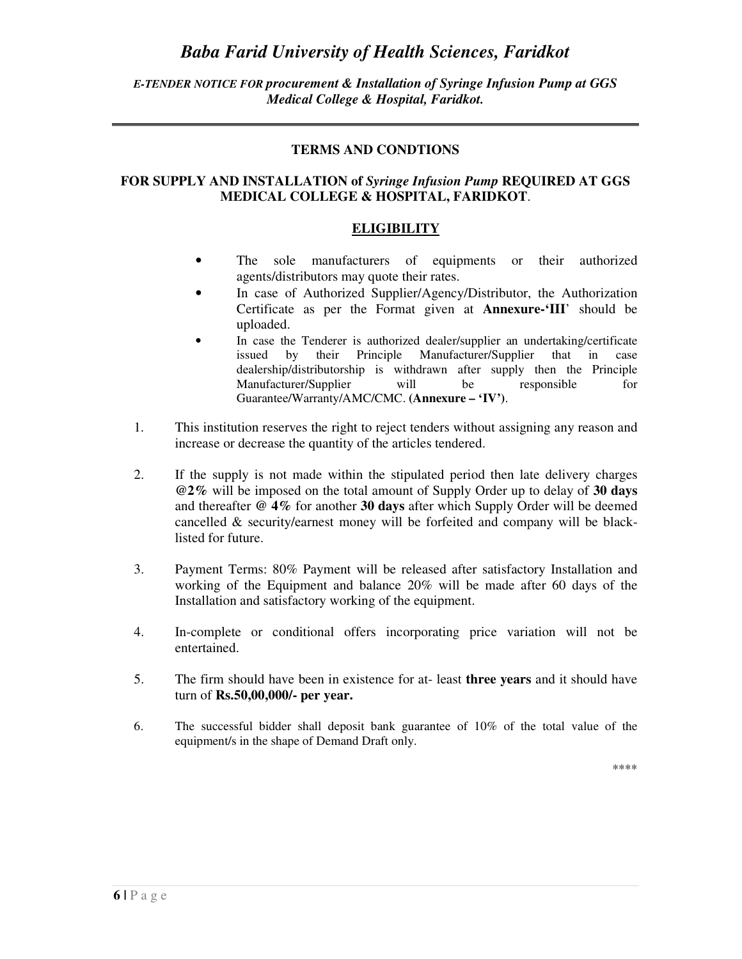#### *E-TENDER NOTICE FOR procurement & Installation of Syringe Infusion Pump at GGS Medical College & Hospital, Faridkot.*

#### **TERMS AND CONDTIONS**

#### **FOR SUPPLY AND INSTALLATION of** *Syringe Infusion Pump* **REQUIRED AT GGS MEDICAL COLLEGE & HOSPITAL, FARIDKOT**.

#### **ELIGIBILITY**

- The sole manufacturers of equipments or their authorized agents/distributors may quote their rates.
- In case of Authorized Supplier/Agency/Distributor, the Authorization Certificate as per the Format given at **Annexure-'III**' should be uploaded.
- In case the Tenderer is authorized dealer/supplier an undertaking/certificate issued by their Principle Manufacturer/Supplier that in case dealership/distributorship is withdrawn after supply then the Principle Manufacturer/Supplier will be responsible for Guarantee/Warranty/AMC/CMC. **(Annexure – 'IV')**.
- 1. This institution reserves the right to reject tenders without assigning any reason and increase or decrease the quantity of the articles tendered.
- 2. If the supply is not made within the stipulated period then late delivery charges **@2%** will be imposed on the total amount of Supply Order up to delay of **30 days** and thereafter **@ 4%** for another **30 days** after which Supply Order will be deemed cancelled & security/earnest money will be forfeited and company will be blacklisted for future.
- 3. Payment Terms: 80% Payment will be released after satisfactory Installation and working of the Equipment and balance 20% will be made after 60 days of the Installation and satisfactory working of the equipment.
- 4. In-complete or conditional offers incorporating price variation will not be entertained.
- 5. The firm should have been in existence for at- least **three years** and it should have turn of **Rs.50,00,000/- per year.**
- 6. The successful bidder shall deposit bank guarantee of 10% of the total value of the equipment/s in the shape of Demand Draft only.

\*\*\*\*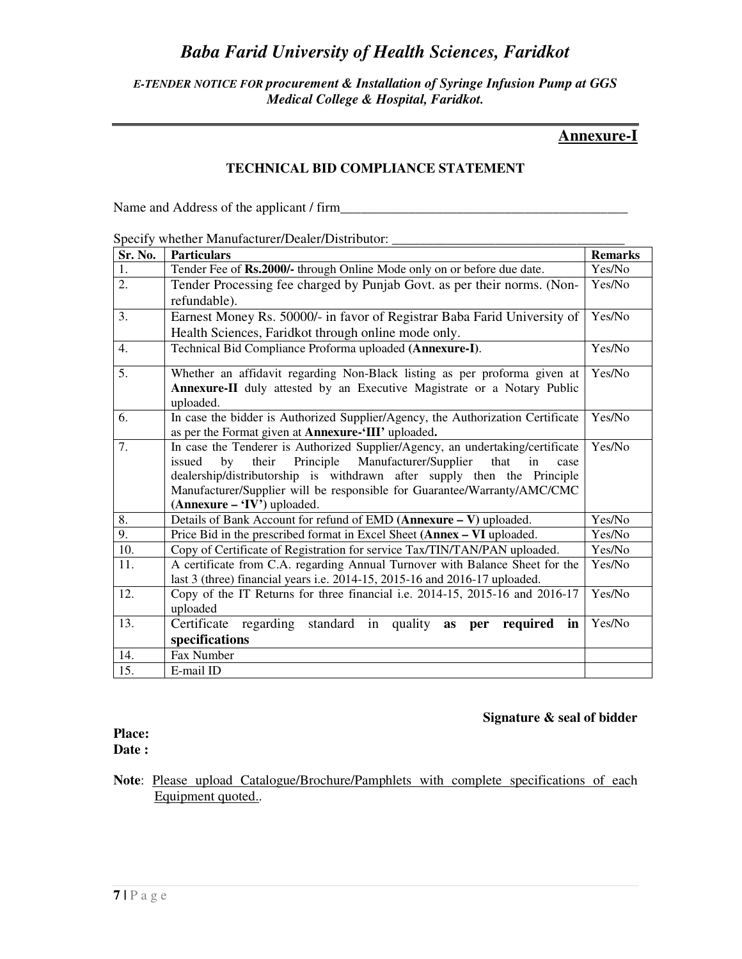#### *E-TENDER NOTICE FOR procurement & Installation of Syringe Infusion Pump at GGS Medical College & Hospital, Faridkot.*

#### **Annexure-I**

#### **TECHNICAL BID COMPLIANCE STATEMENT**

Name and Address of the applicant / firm\_\_\_\_\_\_\_\_\_\_\_\_\_\_\_\_\_\_\_\_\_\_\_\_\_\_\_\_\_\_\_\_\_\_\_\_\_\_\_\_\_\_

#### Specify whether Manufacturer/Dealer/Distributor: \_\_\_\_\_\_\_\_\_\_\_\_\_\_\_\_\_\_\_\_\_\_\_\_\_\_\_\_\_\_\_

| Sr. No. | <b>Particulars</b>                                                                                        | <b>Remarks</b> |  |
|---------|-----------------------------------------------------------------------------------------------------------|----------------|--|
| 1.      | Tender Fee of Rs.2000/- through Online Mode only on or before due date.                                   | Yes/No         |  |
| 2.      | Tender Processing fee charged by Punjab Govt. as per their norms. (Non-                                   |                |  |
|         | refundable).                                                                                              |                |  |
| 3.      | Earnest Money Rs. 50000/- in favor of Registrar Baba Farid University of                                  | Yes/No         |  |
|         | Health Sciences, Faridkot through online mode only.                                                       |                |  |
| 4.      | Technical Bid Compliance Proforma uploaded (Annexure-I).                                                  |                |  |
| 5.      | Whether an affidavit regarding Non-Black listing as per proforma given at                                 | Yes/No         |  |
|         | Annexure-II duly attested by an Executive Magistrate or a Notary Public                                   |                |  |
|         | uploaded.                                                                                                 |                |  |
| 6.      | In case the bidder is Authorized Supplier/Agency, the Authorization Certificate                           | Yes/No         |  |
|         | as per the Format given at <b>Annexure-'III'</b> uploaded.                                                |                |  |
| 7.      | In case the Tenderer is Authorized Supplier/Agency, an undertaking/certificate                            | Yes/No         |  |
|         | Principle<br>Manufacturer/Supplier<br>their<br>that<br>by<br>in<br>issued<br>case                         |                |  |
|         | dealership/distributorship is withdrawn after supply then the Principle                                   |                |  |
|         | Manufacturer/Supplier will be responsible for Guarantee/Warranty/AMC/CMC<br>$(Annexure - 'IV')$ uploaded. |                |  |
| 8.      | Details of Bank Account for refund of EMD (Annexure - V) uploaded.<br>Yes/No                              |                |  |
| 9.      | Price Bid in the prescribed format in Excel Sheet (Annex - VI uploaded.                                   |                |  |
| 10.     | Yes/No<br>Copy of Certificate of Registration for service Tax/TIN/TAN/PAN uploaded.<br>Yes/No             |                |  |
| 11.     | A certificate from C.A. regarding Annual Turnover with Balance Sheet for the                              |                |  |
|         | last 3 (three) financial years i.e. 2014-15, 2015-16 and 2016-17 uploaded.                                | Yes/No         |  |
| 12.     | Copy of the IT Returns for three financial i.e. 2014-15, 2015-16 and 2016-17                              | Yes/No         |  |
|         | uploaded                                                                                                  |                |  |
| 13.     | Certificate regarding standard in quality as per required in                                              | Yes/No         |  |
|         | specifications                                                                                            |                |  |
| 14.     | Fax Number                                                                                                |                |  |
| 15.     | E-mail ID                                                                                                 |                |  |

#### **Signature & seal of bidder**

#### **Place: Date :**

**Note**: Please upload Catalogue/Brochure/Pamphlets with complete specifications of each Equipment quoted..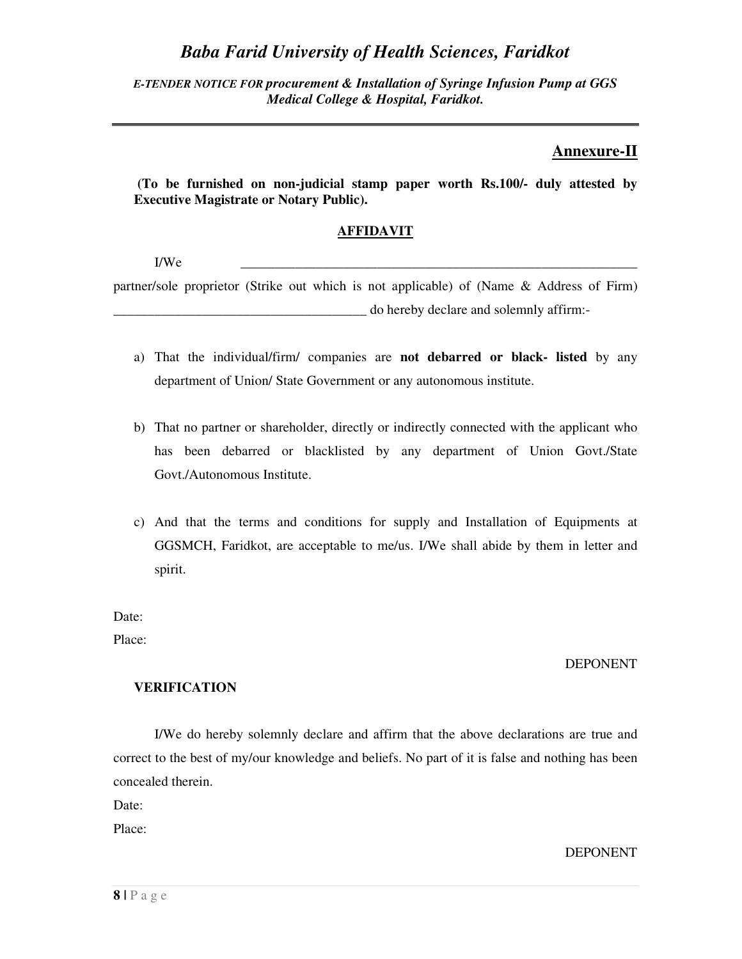*E-TENDER NOTICE FOR procurement & Installation of Syringe Infusion Pump at GGS Medical College & Hospital, Faridkot.* 

#### **Annexure-II**

 **(To be furnished on non-judicial stamp paper worth Rs.100/- duly attested by Executive Magistrate or Notary Public).** 

#### **AFFIDAVIT**

I/We \_\_\_\_\_\_\_\_\_\_\_\_\_\_\_\_\_\_\_\_\_\_\_\_\_\_\_\_\_\_\_\_\_\_\_\_\_\_\_\_\_\_\_\_\_\_\_\_\_\_\_\_\_\_\_\_\_\_

partner/sole proprietor (Strike out which is not applicable) of (Name & Address of Firm) \_\_\_\_\_\_\_\_\_\_\_\_\_\_\_\_\_\_\_\_\_\_\_\_\_\_\_\_\_\_\_\_\_\_\_\_\_ do hereby declare and solemnly affirm:-

- a) That the individual/firm/ companies are **not debarred or black- listed** by any department of Union/ State Government or any autonomous institute.
- b) That no partner or shareholder, directly or indirectly connected with the applicant who has been debarred or blacklisted by any department of Union Govt./State Govt./Autonomous Institute.
- c) And that the terms and conditions for supply and Installation of Equipments at GGSMCH, Faridkot, are acceptable to me/us. I/We shall abide by them in letter and spirit.

Date:

Place:

#### DEPONENT

#### **VERIFICATION**

I/We do hereby solemnly declare and affirm that the above declarations are true and correct to the best of my/our knowledge and beliefs. No part of it is false and nothing has been concealed therein.

Date:

Place:

DEPONENT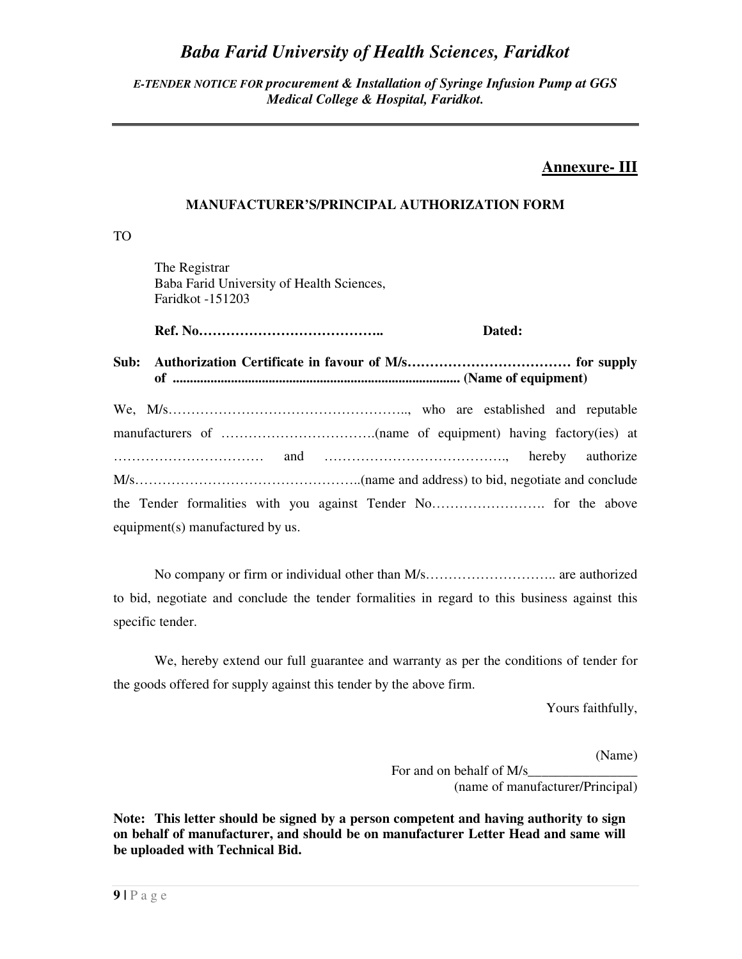#### *E-TENDER NOTICE FOR procurement & Installation of Syringe Infusion Pump at GGS Medical College & Hospital, Faridkot.*

### **Annexure- III**

#### **MANUFACTURER'S/PRINCIPAL AUTHORIZATION FORM**

TO

 The Registrar Baba Farid University of Health Sciences, Faridkot -151203

 **Ref. No………………………………….. Dated:** 

**Sub: Authorization Certificate in favour of M/s……………………………… for supply of .................................................................................... (Name of equipment)** 

| equipment(s) manufactured by us. |  |
|----------------------------------|--|

No company or firm or individual other than M/s……………………….. are authorized to bid, negotiate and conclude the tender formalities in regard to this business against this specific tender.

 We, hereby extend our full guarantee and warranty as per the conditions of tender for the goods offered for supply against this tender by the above firm.

Yours faithfully,

(Name)

For and on behalf of M/s (name of manufacturer/Principal)

**Note: This letter should be signed by a person competent and having authority to sign on behalf of manufacturer, and should be on manufacturer Letter Head and same will be uploaded with Technical Bid.**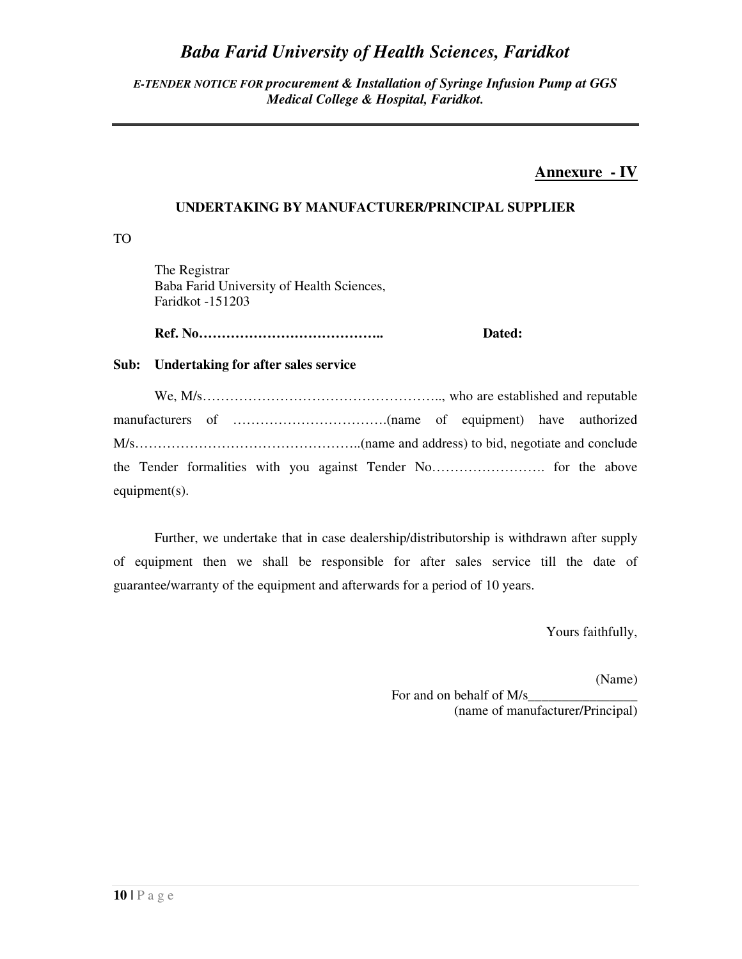#### *E-TENDER NOTICE FOR procurement & Installation of Syringe Infusion Pump at GGS Medical College & Hospital, Faridkot.*

### **Annexure - IV**

#### **UNDERTAKING BY MANUFACTURER/PRINCIPAL SUPPLIER**

TO

 The Registrar Baba Farid University of Health Sciences, Faridkot -151203

 **Ref. No………………………………….. Dated:** 

#### **Sub: Undertaking for after sales service**

| equipment $(s)$ . |  |  |  |
|-------------------|--|--|--|

Further, we undertake that in case dealership/distributorship is withdrawn after supply of equipment then we shall be responsible for after sales service till the date of guarantee/warranty of the equipment and afterwards for a period of 10 years.

Yours faithfully,

(Name)

For and on behalf of M/s\_ (name of manufacturer/Principal)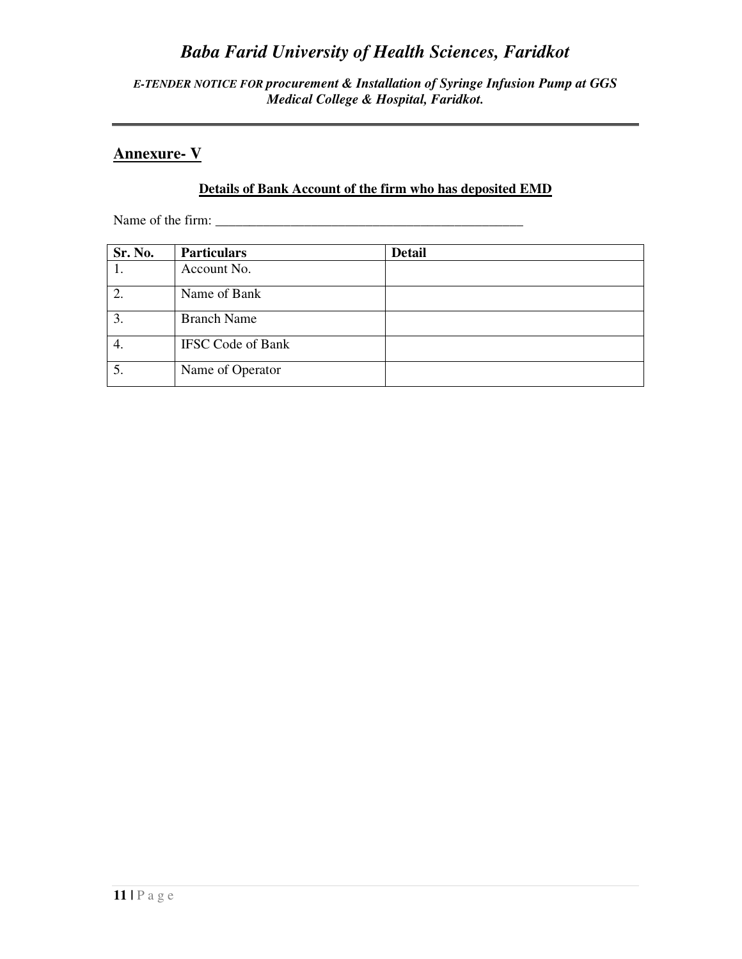*E-TENDER NOTICE FOR procurement & Installation of Syringe Infusion Pump at GGS Medical College & Hospital, Faridkot.* 

### **Annexure- V**

### **Details of Bank Account of the firm who has deposited EMD**

Name of the firm: \_\_\_\_\_\_\_\_\_\_\_\_\_\_\_\_\_\_\_\_\_\_\_\_\_\_\_\_\_\_\_\_\_\_\_\_\_\_\_\_\_\_\_\_\_

| Sr. No. | <b>Particulars</b>       | <b>Detail</b> |
|---------|--------------------------|---------------|
|         | Account No.              |               |
|         | Name of Bank             |               |
| 3.      | <b>Branch Name</b>       |               |
| 4.      | <b>IFSC Code of Bank</b> |               |
| 5.      | Name of Operator         |               |